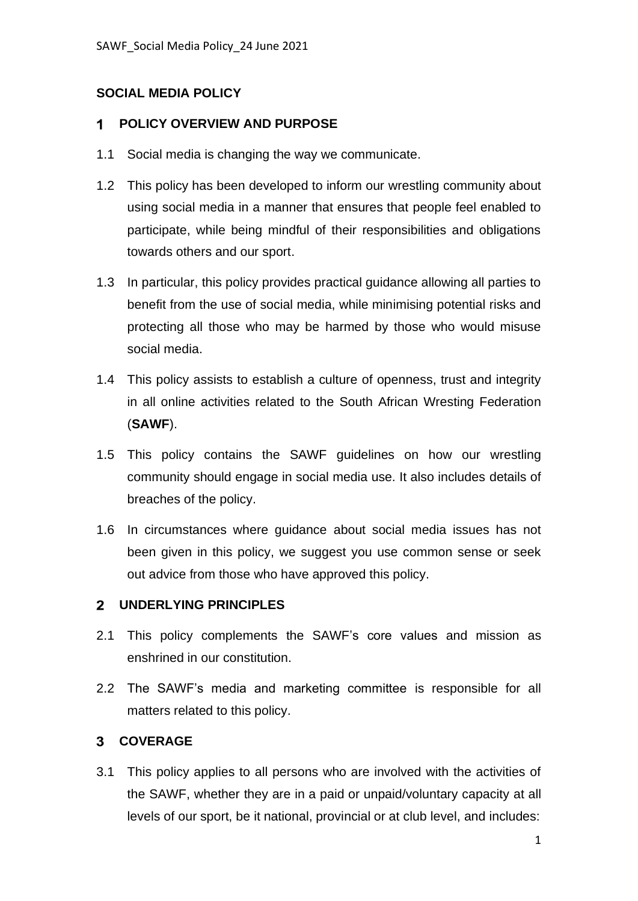# **SOCIAL MEDIA POLICY**

#### **POLICY OVERVIEW AND PURPOSE**  $\mathbf 1$

- 1.1 Social media is changing the way we communicate.
- 1.2 This policy has been developed to inform our wrestling community about using social media in a manner that ensures that people feel enabled to participate, while being mindful of their responsibilities and obligations towards others and our sport.
- 1.3 In particular, this policy provides practical guidance allowing all parties to benefit from the use of social media, while minimising potential risks and protecting all those who may be harmed by those who would misuse social media.
- 1.4 This policy assists to establish a culture of openness, trust and integrity in all online activities related to the South African Wresting Federation (**SAWF**).
- 1.5 This policy contains the SAWF guidelines on how our wrestling community should engage in social media use. It also includes details of breaches of the policy.
- 1.6 In circumstances where guidance about social media issues has not been given in this policy, we suggest you use common sense or seek out advice from those who have approved this policy.

# **UNDERLYING PRINCIPLES**

- 2.1 This policy complements the SAWF's core values and mission as enshrined in our constitution.
- 2.2 The SAWF's media and marketing committee is responsible for all matters related to this policy.

# **COVERAGE**

3.1 This policy applies to all persons who are involved with the activities of the SAWF, whether they are in a paid or unpaid/voluntary capacity at all levels of our sport, be it national, provincial or at club level, and includes: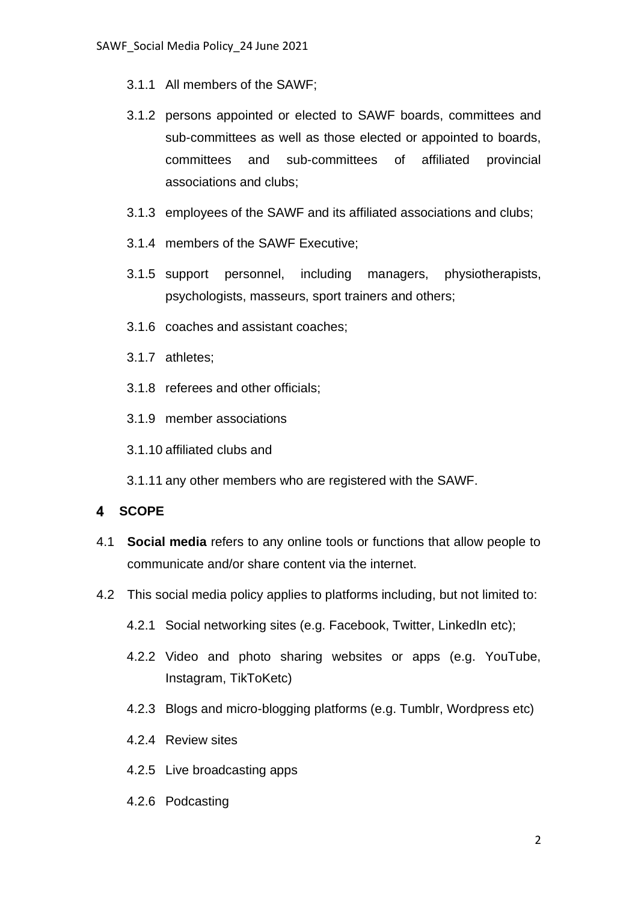- 3.1.1 All members of the SAWF;
- 3.1.2 persons appointed or elected to SAWF boards, committees and sub-committees as well as those elected or appointed to boards, committees and sub-committees of affiliated provincial associations and clubs;
- 3.1.3 employees of the SAWF and its affiliated associations and clubs;
- 3.1.4 members of the SAWF Executive;
- 3.1.5 support personnel, including managers, physiotherapists, psychologists, masseurs, sport trainers and others;
- 3.1.6 coaches and assistant coaches;
- 3.1.7 athletes;
- 3.1.8 referees and other officials;
- 3.1.9 member associations
- 3.1.10 affiliated clubs and
- 3.1.11 any other members who are registered with the SAWF.

### **SCOPE**

- 4.1 **Social media** refers to any online tools or functions that allow people to communicate and/or share content via the internet.
- 4.2 This social media policy applies to platforms including, but not limited to:
	- 4.2.1 Social networking sites (e.g. Facebook, Twitter, LinkedIn etc);
	- 4.2.2 Video and photo sharing websites or apps (e.g. YouTube, Instagram, TikToKetc)
	- 4.2.3 Blogs and micro-blogging platforms (e.g. Tumblr, Wordpress etc)
	- 4.2.4 Review sites
	- 4.2.5 Live broadcasting apps
	- 4.2.6 Podcasting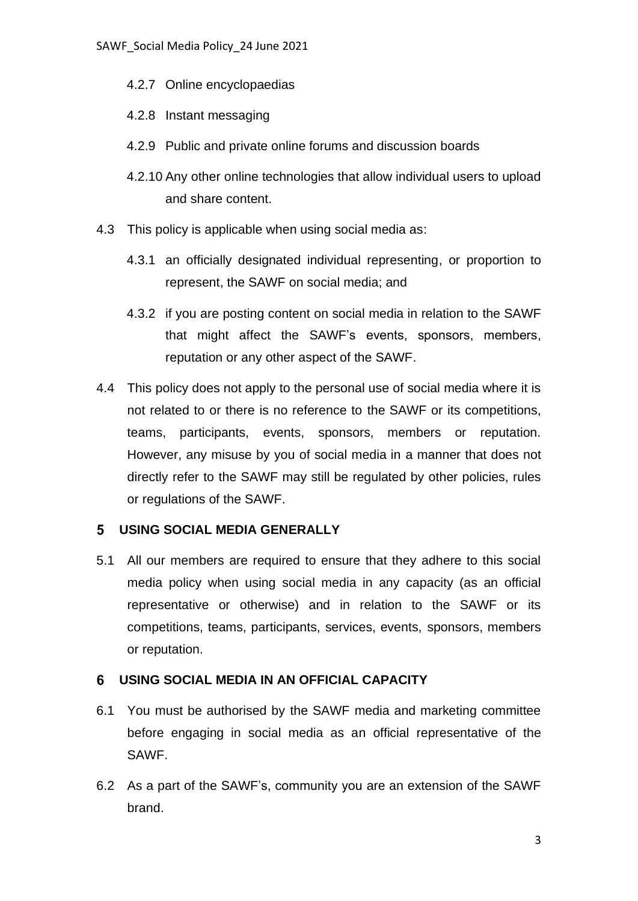- 4.2.7 Online encyclopaedias
- 4.2.8 Instant messaging
- 4.2.9 Public and private online forums and discussion boards
- 4.2.10 Any other online technologies that allow individual users to upload and share content.
- 4.3 This policy is applicable when using social media as:
	- 4.3.1 an officially designated individual representing, or proportion to represent, the SAWF on social media; and
	- 4.3.2 if you are posting content on social media in relation to the SAWF that might affect the SAWF's events, sponsors, members, reputation or any other aspect of the SAWF.
- 4.4 This policy does not apply to the personal use of social media where it is not related to or there is no reference to the SAWF or its competitions, teams, participants, events, sponsors, members or reputation. However, any misuse by you of social media in a manner that does not directly refer to the SAWF may still be regulated by other policies, rules or regulations of the SAWF.

### **USING SOCIAL MEDIA GENERALLY**

5.1 All our members are required to ensure that they adhere to this social media policy when using social media in any capacity (as an official representative or otherwise) and in relation to the SAWF or its competitions, teams, participants, services, events, sponsors, members or reputation.

#### **USING SOCIAL MEDIA IN AN OFFICIAL CAPACITY**

- 6.1 You must be authorised by the SAWF media and marketing committee before engaging in social media as an official representative of the SAWF.
- 6.2 As a part of the SAWF's, community you are an extension of the SAWF brand.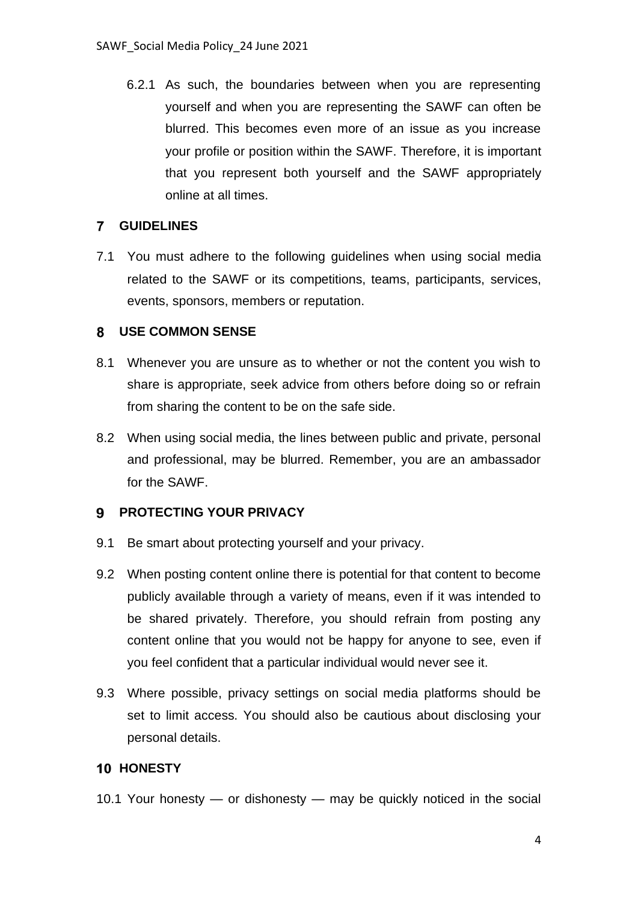6.2.1 As such, the boundaries between when you are representing yourself and when you are representing the SAWF can often be blurred. This becomes even more of an issue as you increase your profile or position within the SAWF. Therefore, it is important that you represent both yourself and the SAWF appropriately online at all times.

### **GUIDELINES**

7.1 You must adhere to the following guidelines when using social media related to the SAWF or its competitions, teams, participants, services, events, sponsors, members or reputation.

# **USE COMMON SENSE**

- 8.1 Whenever you are unsure as to whether or not the content you wish to share is appropriate, seek advice from others before doing so or refrain from sharing the content to be on the safe side.
- 8.2 When using social media, the lines between public and private, personal and professional, may be blurred. Remember, you are an ambassador for the SAWF.

# **PROTECTING YOUR PRIVACY**

- 9.1 Be smart about protecting yourself and your privacy.
- 9.2 When posting content online there is potential for that content to become publicly available through a variety of means, even if it was intended to be shared privately. Therefore, you should refrain from posting any content online that you would not be happy for anyone to see, even if you feel confident that a particular individual would never see it.
- 9.3 Where possible, privacy settings on social media platforms should be set to limit access. You should also be cautious about disclosing your personal details.

### **10 HONESTY**

10.1 Your honesty — or dishonesty — may be quickly noticed in the social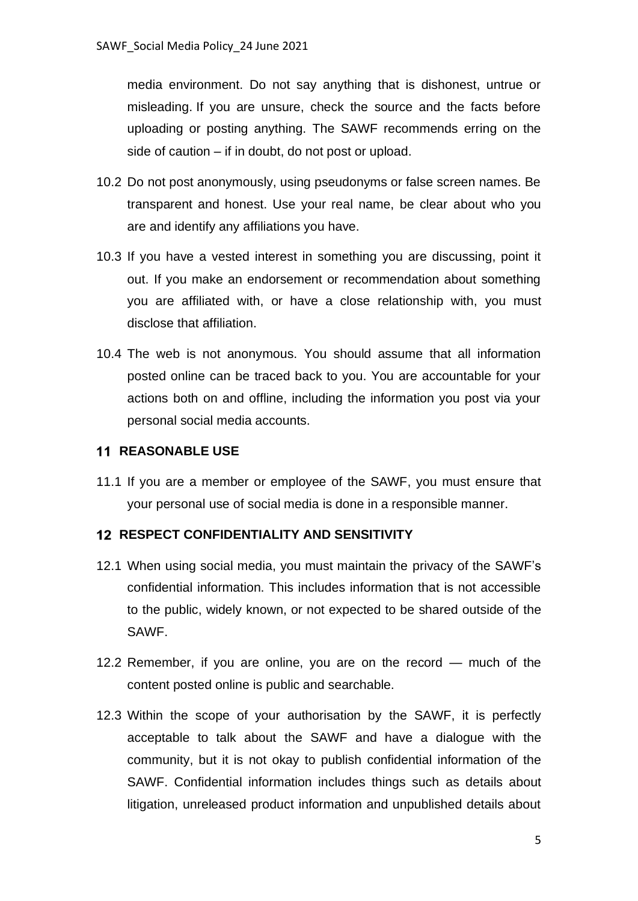media environment. Do not say anything that is dishonest, untrue or misleading. If you are unsure, check the source and the facts before uploading or posting anything. The SAWF recommends erring on the side of caution – if in doubt, do not post or upload.

- 10.2 Do not post anonymously, using pseudonyms or false screen names. Be transparent and honest. Use your real name, be clear about who you are and identify any affiliations you have.
- 10.3 If you have a vested interest in something you are discussing, point it out. If you make an endorsement or recommendation about something you are affiliated with, or have a close relationship with, you must disclose that affiliation.
- 10.4 The web is not anonymous. You should assume that all information posted online can be traced back to you. You are accountable for your actions both on and offline, including the information you post via your personal social media accounts.

# **11 REASONABLE USE**

11.1 If you are a member or employee of the SAWF, you must ensure that your personal use of social media is done in a responsible manner.

# **RESPECT CONFIDENTIALITY AND SENSITIVITY**

- 12.1 When using social media, you must maintain the privacy of the SAWF's confidential information. This includes information that is not accessible to the public, widely known, or not expected to be shared outside of the SAWF.
- 12.2 Remember, if you are online, you are on the record much of the content posted online is public and searchable.
- 12.3 Within the scope of your authorisation by the SAWF, it is perfectly acceptable to talk about the SAWF and have a dialogue with the community, but it is not okay to publish confidential information of the SAWF. Confidential information includes things such as details about litigation, unreleased product information and unpublished details about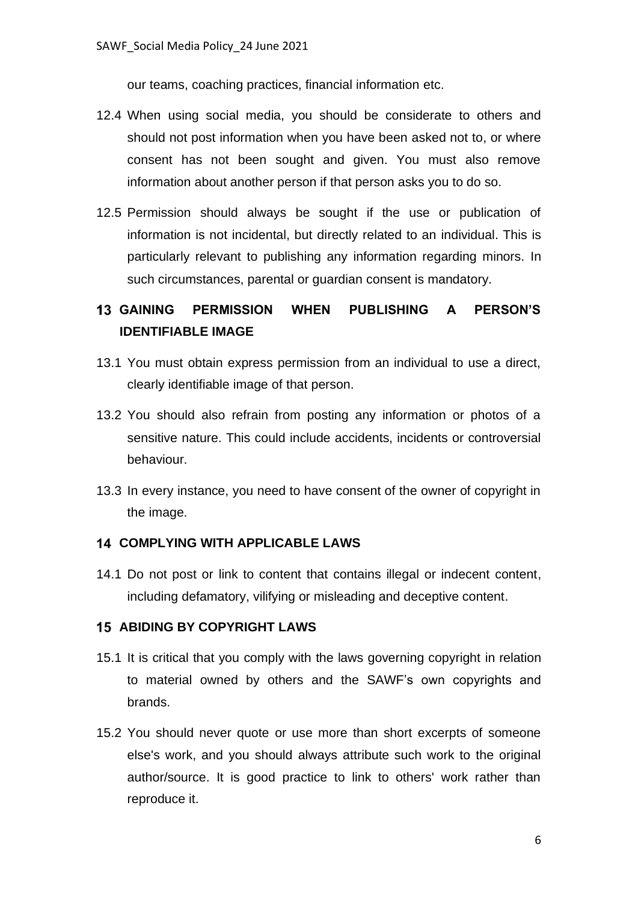our teams, coaching practices, financial information etc.

- 12.4 When using social media, you should be considerate to others and should not post information when you have been asked not to, or where consent has not been sought and given. You must also remove information about another person if that person asks you to do so.
- 12.5 Permission should always be sought if the use or publication of information is not incidental, but directly related to an individual. This is particularly relevant to publishing any information regarding minors. In such circumstances, parental or guardian consent is mandatory.

# **GAINING PERMISSION WHEN PUBLISHING A PERSON'S IDENTIFIABLE IMAGE**

- 13.1 You must obtain express permission from an individual to use a direct, clearly identifiable image of that person.
- 13.2 You should also refrain from posting any information or photos of a sensitive nature. This could include accidents, incidents or controversial behaviour.
- 13.3 In every instance, you need to have consent of the owner of copyright in the image.

### **COMPLYING WITH APPLICABLE LAWS**

14.1 Do not post or link to content that contains illegal or indecent content, including defamatory, vilifying or misleading and deceptive content.

# **ABIDING BY COPYRIGHT LAWS**

- 15.1 It is critical that you comply with the laws governing copyright in relation to material owned by others and the SAWF's own copyrights and brands.
- 15.2 You should never quote or use more than short excerpts of someone else's work, and you should always attribute such work to the original author/source. It is good practice to link to others' work rather than reproduce it.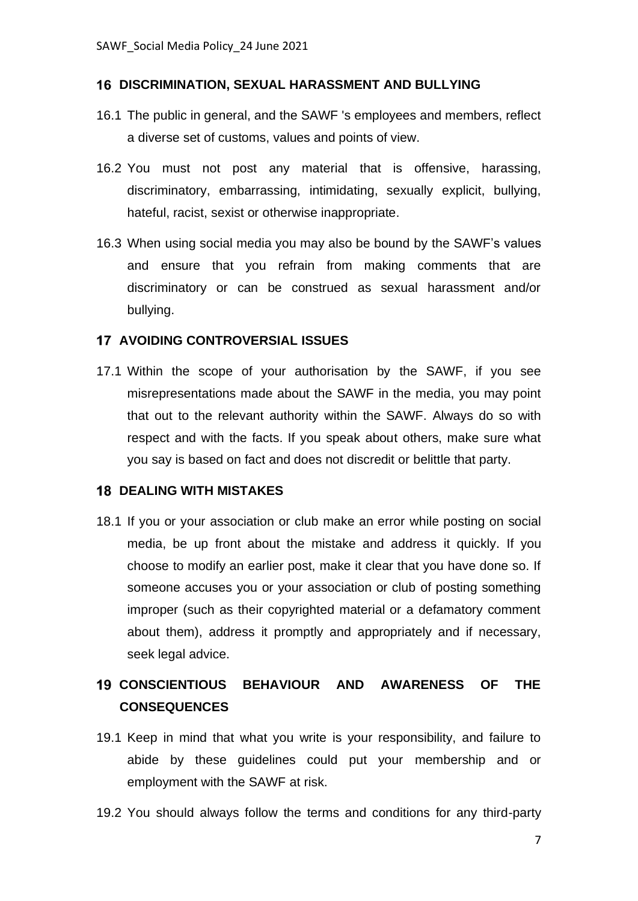### **DISCRIMINATION, SEXUAL HARASSMENT AND BULLYING**

- 16.1 The public in general, and the SAWF 's employees and members, reflect a diverse set of customs, values and points of view.
- 16.2 You must not post any material that is offensive, harassing, discriminatory, embarrassing, intimidating, sexually explicit, bullying, hateful, racist, sexist or otherwise inappropriate.
- 16.3 When using social media you may also be bound by the SAWF's values and ensure that you refrain from making comments that are discriminatory or can be construed as sexual harassment and/or bullying.

### **AVOIDING CONTROVERSIAL ISSUES**

17.1 Within the scope of your authorisation by the SAWF, if you see misrepresentations made about the SAWF in the media, you may point that out to the relevant authority within the SAWF. Always do so with respect and with the facts. If you speak about others, make sure what you say is based on fact and does not discredit or belittle that party.

### **18 DEALING WITH MISTAKES**

18.1 If you or your association or club make an error while posting on social media, be up front about the mistake and address it quickly. If you choose to modify an earlier post, make it clear that you have done so. If someone accuses you or your association or club of posting something improper (such as their copyrighted material or a defamatory comment about them), address it promptly and appropriately and if necessary, seek legal advice.

# **CONSCIENTIOUS BEHAVIOUR AND AWARENESS OF THE CONSEQUENCES**

- 19.1 Keep in mind that what you write is your responsibility, and failure to abide by these guidelines could put your membership and or employment with the SAWF at risk.
- 19.2 You should always follow the terms and conditions for any third-party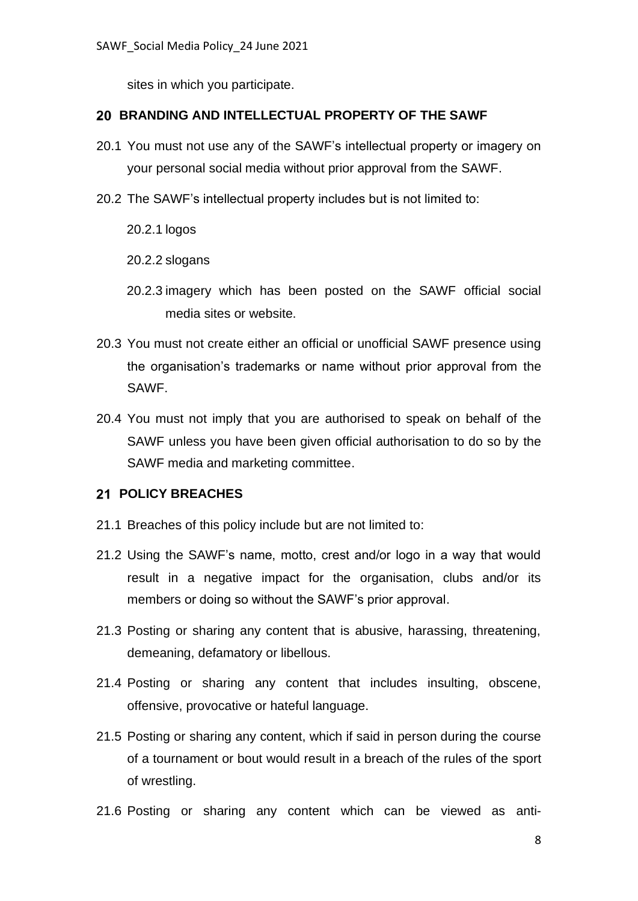sites in which you participate.

### **BRANDING AND INTELLECTUAL PROPERTY OF THE SAWF**

- 20.1 You must not use any of the SAWF's intellectual property or imagery on your personal social media without prior approval from the SAWF.
- 20.2 The SAWF's intellectual property includes but is not limited to:

20.2.1 logos

20.2.2 slogans

- 20.2.3 imagery which has been posted on the SAWF official social media sites or website.
- 20.3 You must not create either an official or unofficial SAWF presence using the organisation's trademarks or name without prior approval from the SAWF.
- 20.4 You must not imply that you are authorised to speak on behalf of the SAWF unless you have been given official authorisation to do so by the SAWF media and marketing committee.

### **POLICY BREACHES**

- 21.1 Breaches of this policy include but are not limited to:
- 21.2 Using the SAWF's name, motto, crest and/or logo in a way that would result in a negative impact for the organisation, clubs and/or its members or doing so without the SAWF's prior approval.
- 21.3 Posting or sharing any content that is abusive, harassing, threatening, demeaning, defamatory or libellous.
- 21.4 Posting or sharing any content that includes insulting, obscene, offensive, provocative or hateful language.
- 21.5 Posting or sharing any content, which if said in person during the course of a tournament or bout would result in a breach of the rules of the sport of wrestling.
- 21.6 Posting or sharing any content which can be viewed as anti-